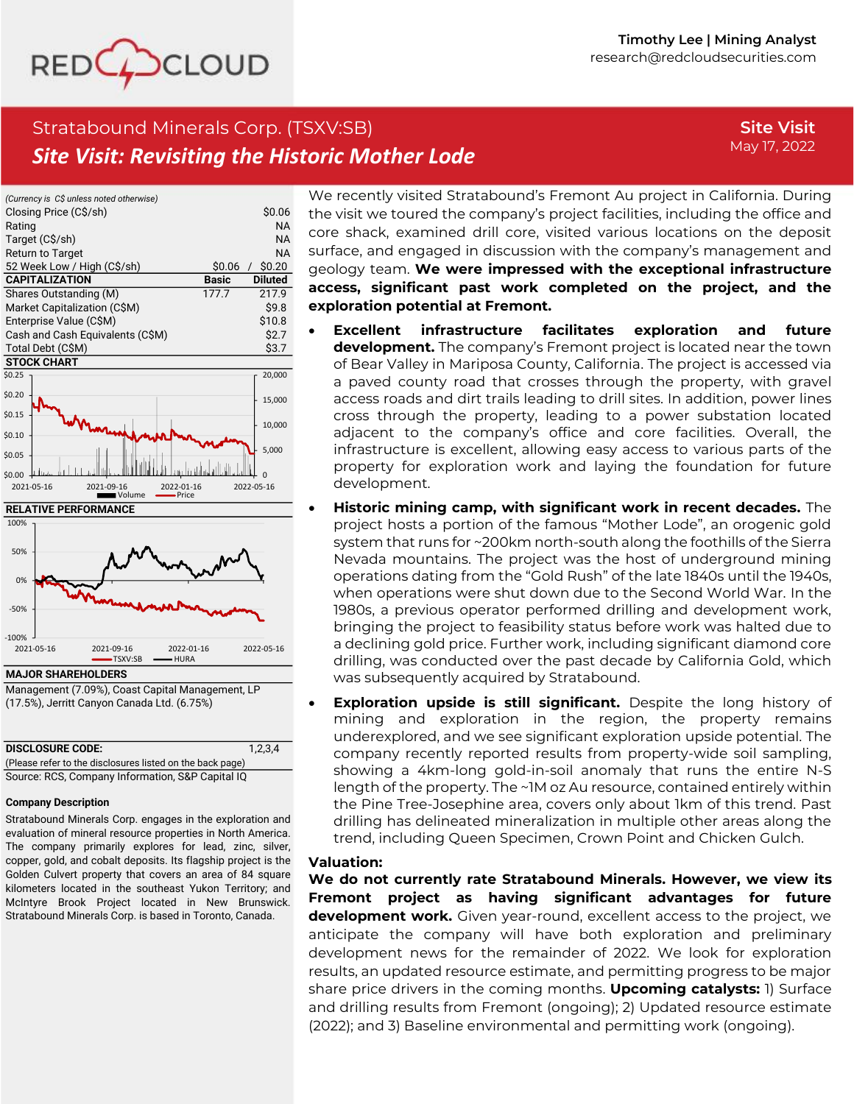

**Site Visit** May 17, 2022

# Stratabound Minerals Corp. (TSXV:SB) *Site Visit: Revisiting the Historic Mother Lode*





Management (7.09%), Coast Capital Management, LP (17.5%), Jerritt Canyon Canada Ltd. (6.75%)

| <b>DISCLOSURE CODE:</b>                                   | 1.2.3.4 |  |  |  |
|-----------------------------------------------------------|---------|--|--|--|
| (Please refer to the disclosures listed on the back page) |         |  |  |  |
| Source: RCS, Company Information, S&P Capital IQ          |         |  |  |  |

#### **Company Description**

Stratabound Minerals Corp. engages in the exploration and evaluation of mineral resource properties in North America. The company primarily explores for lead, zinc, silver, copper, gold, and cobalt deposits. Its flagship project is the Golden Culvert property that covers an area of 84 square kilometers located in the southeast Yukon Territory; and McIntyre Brook Project located in New Brunswick. Stratabound Minerals Corp. is based in Toronto, Canada.

We recently visited Stratabound's Fremont Au project in California. During the visit we toured the company's project facilities, including the office and core shack, examined drill core, visited various locations on the deposit surface, and engaged in discussion with the company's management and geology team. **We were impressed with the exceptional infrastructure access, significant past work completed on the project, and the exploration potential at Fremont.**

- **Excellent infrastructure facilitates exploration and future development.** The company's Fremont project is located near the town of Bear Valley in Mariposa County, California. The project is accessed via a paved county road that crosses through the property, with gravel access roads and dirt trails leading to drill sites. In addition, power lines cross through the property, leading to a power substation located adjacent to the company's office and core facilities. Overall, the infrastructure is excellent, allowing easy access to various parts of the property for exploration work and laying the foundation for future development.
- **Historic mining camp, with significant work in recent decades.** The project hosts a portion of the famous "Mother Lode", an orogenic gold system that runs for ~200km north-south along the foothills of the Sierra Nevada mountains. The project was the host of underground mining operations dating from the "Gold Rush" of the late 1840s until the 1940s, when operations were shut down due to the Second World War. In the 1980s, a previous operator performed drilling and development work, bringing the project to feasibility status before work was halted due to a declining gold price. Further work, including significant diamond core drilling, was conducted over the past decade by California Gold, which was subsequently acquired by Stratabound.
- **Exploration upside is still significant.** Despite the long history of mining and exploration in the region, the property remains underexplored, and we see significant exploration upside potential. The company recently reported results from property-wide soil sampling, showing a 4km-long gold-in-soil anomaly that runs the entire N-S length of the property. The ~1M oz Au resource, contained entirely within the Pine Tree-Josephine area, covers only about 1km of this trend. Past drilling has delineated mineralization in multiple other areas along the trend, including Queen Specimen, Crown Point and Chicken Gulch.

### **Valuation:**

**We do not currently rate Stratabound Minerals. However, we view its Fremont project as having significant advantages for future development work.** Given year-round, excellent access to the project, we anticipate the company will have both exploration and preliminary development news for the remainder of 2022. We look for exploration results, an updated resource estimate, and permitting progress to be major share price drivers in the coming months. **Upcoming catalysts:** 1) Surface and drilling results from Fremont (ongoing); 2) Updated resource estimate (2022); and 3) Baseline environmental and permitting work (ongoing).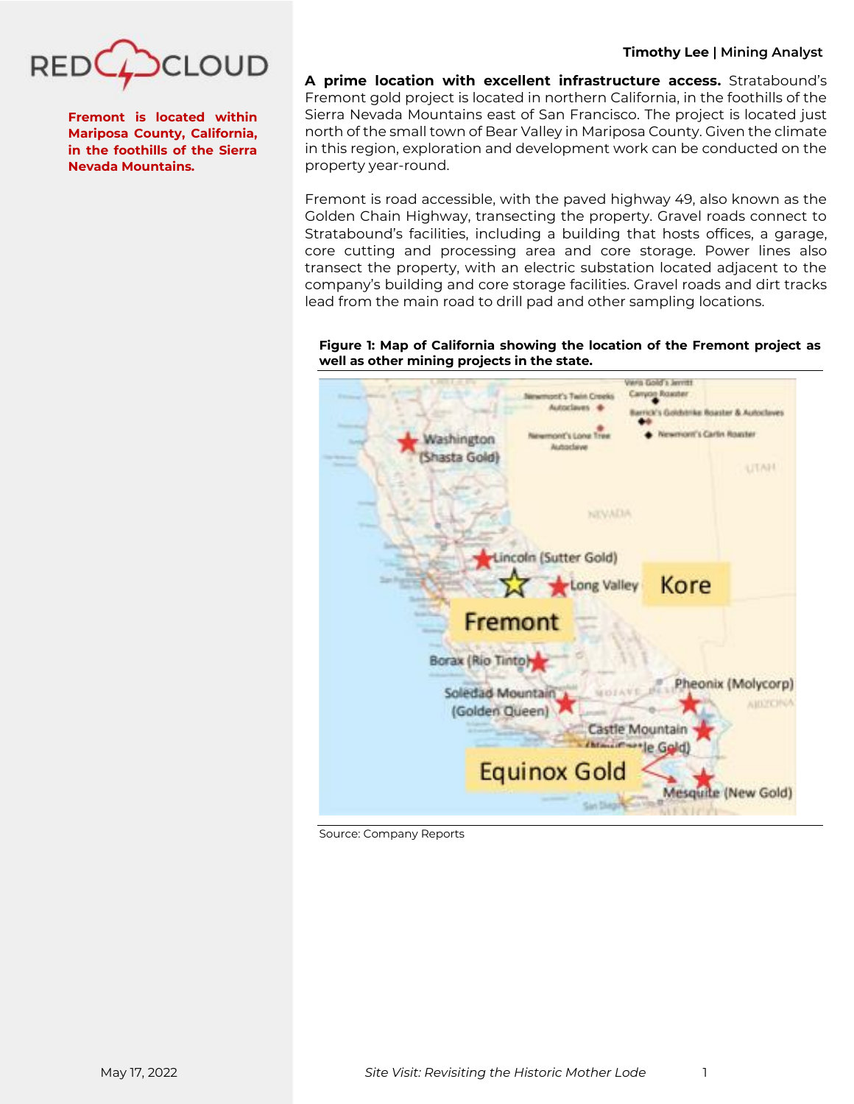

**Fremont is located within Mariposa County, California, in the foothills of the Sierra Nevada Mountains.**

**A prime location with excellent infrastructure access.** Stratabound's Fremont gold project is located in northern California, in the foothills of the Sierra Nevada Mountains east of San Francisco. The project is located just north of the small town of Bear Valley in Mariposa County. Given the climate in this region, exploration and development work can be conducted on the property year-round.

Fremont is road accessible, with the paved highway 49, also known as the Golden Chain Highway, transecting the property. Gravel roads connect to Stratabound's facilities, including a building that hosts offices, a garage, core cutting and processing area and core storage. Power lines also transect the property, with an electric substation located adjacent to the company's building and core storage facilities. Gravel roads and dirt tracks lead from the main road to drill pad and other sampling locations.

**Figure 1: Map of California showing the location of the Fremont project as well as other mining projects in the state.**



Source: Company Reports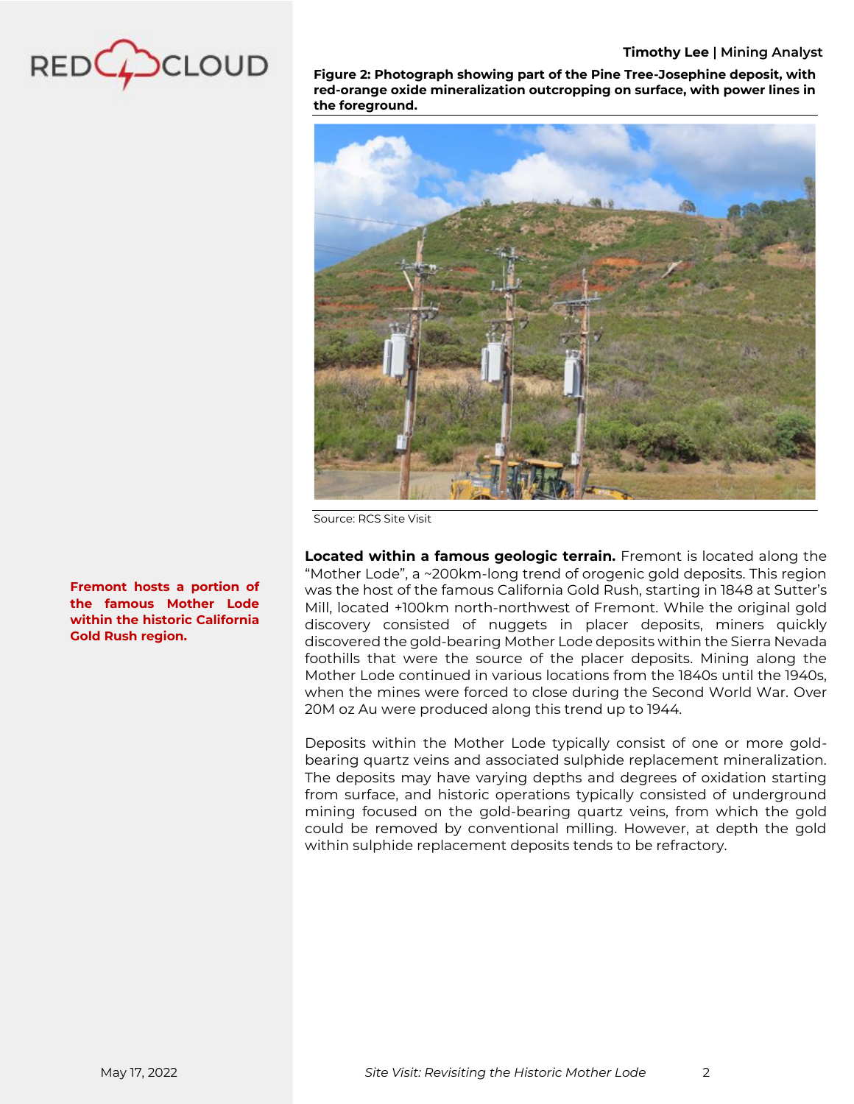

**Figure 2: Photograph showing part of the Pine Tree-Josephine deposit, with red-orange oxide mineralization outcropping on surface, with power lines in the foreground.**



Source: RCS Site Visit

**Located within a famous geologic terrain.** Fremont is located along the "Mother Lode", a ~200km-long trend of orogenic gold deposits. This region was the host of the famous California Gold Rush, starting in 1848 at Sutter's Mill, located +100km north-northwest of Fremont. While the original gold discovery consisted of nuggets in placer deposits, miners quickly discovered the gold-bearing Mother Lode deposits within the Sierra Nevada foothills that were the source of the placer deposits. Mining along the Mother Lode continued in various locations from the 1840s until the 1940s, when the mines were forced to close during the Second World War. Over 20M oz Au were produced along this trend up to 1944.

Deposits within the Mother Lode typically consist of one or more goldbearing quartz veins and associated sulphide replacement mineralization. The deposits may have varying depths and degrees of oxidation starting from surface, and historic operations typically consisted of underground mining focused on the gold-bearing quartz veins, from which the gold could be removed by conventional milling. However, at depth the gold within sulphide replacement deposits tends to be refractory.

**Fremont hosts a portion of the famous Mother Lode within the historic California Gold Rush region.**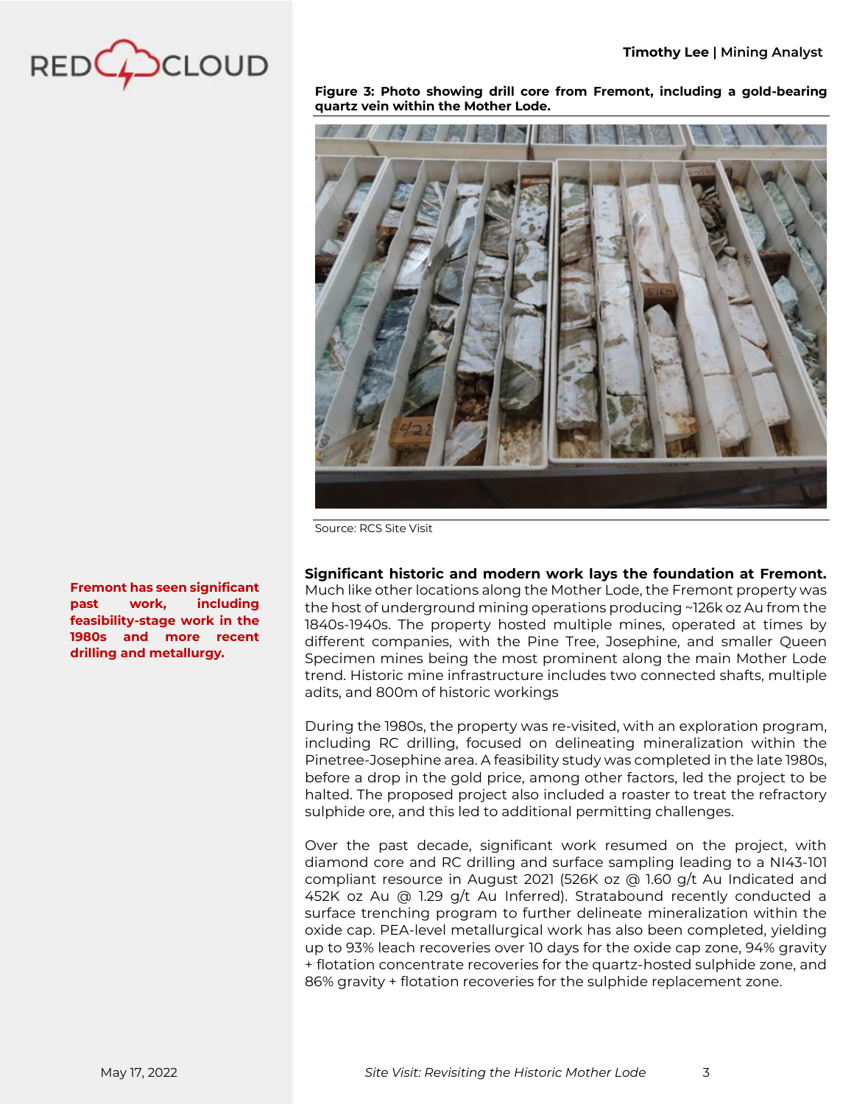

**Figure 3: Photo showing drill core from Fremont, including a gold-bearing quartz vein within the Mother Lode.** 



Source: RCS Site Visit

**Significant historic and modern work lays the foundation at Fremont.** Much like other locations along the Mother Lode, the Fremont property was the host of underground mining operations producing ~126k oz Au from the 1840s-1940s. The property hosted multiple mines, operated at times by different companies, with the Pine Tree, Josephine, and smaller Queen Specimen mines being the most prominent along the main Mother Lode trend. Historic mine infrastructure includes two connected shafts, multiple adits, and 800m of historic workings

During the 1980s, the property was re-visited, with an exploration program, including RC drilling, focused on delineating mineralization within the Pinetree-Josephine area. A feasibility study was completed in the late 1980s, before a drop in the gold price, among other factors, led the project to be halted. The proposed project also included a roaster to treat the refractory sulphide ore, and this led to additional permitting challenges.

Over the past decade, significant work resumed on the project, with diamond core and RC drilling and surface sampling leading to a NI43-101 compliant resource in August 2021 (526K oz @ 1.60 g/t Au Indicated and 452K oz Au @ 1.29 g/t Au Inferred). Stratabound recently conducted a surface trenching program to further delineate mineralization within the oxide cap. PEA-level metallurgical work has also been completed, yielding up to 93% leach recoveries over 10 days for the oxide cap zone, 94% gravity + flotation concentrate recoveries for the quartz-hosted sulphide zone, and 86% gravity + flotation recoveries for the sulphide replacement zone.

**Fremont has seen significant past work, including feasibility-stage work in the 1980s and more recent drilling and metallurgy.**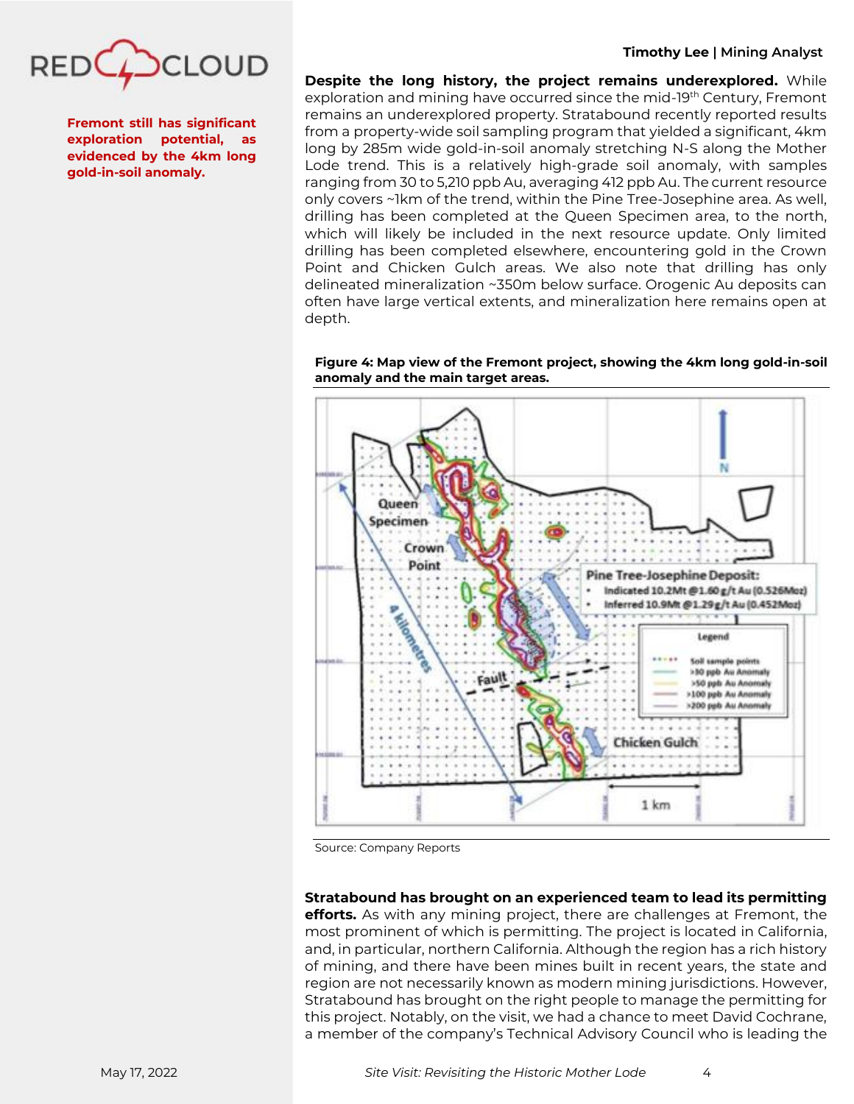

**Fremont still has significant exploration potential, as evidenced by the 4km long gold-in-soil anomaly.**

# **Timothy Lee | Mining Analyst**

**Despite the long history, the project remains underexplored.** While exploration and mining have occurred since the mid-19th Century, Fremont remains an underexplored property. Stratabound recently reported results from a property-wide soil sampling program that yielded a significant, 4km long by 285m wide gold-in-soil anomaly stretching N-S along the Mother Lode trend. This is a relatively high-grade soil anomaly, with samples ranging from 30 to 5,210 ppb Au, averaging 412 ppb Au. The current resource only covers ~1km of the trend, within the Pine Tree-Josephine area. As well, drilling has been completed at the Queen Specimen area, to the north, which will likely be included in the next resource update. Only limited drilling has been completed elsewhere, encountering gold in the Crown Point and Chicken Gulch areas. We also note that drilling has only delineated mineralization ~350m below surface. Orogenic Au deposits can often have large vertical extents, and mineralization here remains open at depth.

Queen Specimen Crown Point **Pine Tree-Josephine Deposit:** Indicated 10.2Mt @1.60 g/t Au (0.526Moz) Inferred 10.9Mt @1.29g/t Au (0.452Moz) A POSTAGE OF т **Legend** Soil sample points >10 ppb Au Anomaly Fault >50 ppb Au Anomaly >100 ppb Au Anomaly >200 ppb Au Anomaly Chicken Gulch 1 km

**Figure 4: Map view of the Fremont project, showing the 4km long gold-in-soil anomaly and the main target areas.**

Source: Company Reports

# **Stratabound has brought on an experienced team to lead its permitting**

**efforts.** As with any mining project, there are challenges at Fremont, the most prominent of which is permitting. The project is located in California, and, in particular, northern California. Although the region has a rich history of mining, and there have been mines built in recent years, the state and region are not necessarily known as modern mining jurisdictions. However, Stratabound has brought on the right people to manage the permitting for this project. Notably, on the visit, we had a chance to meet David Cochrane, a member of the company's Technical Advisory Council who is leading the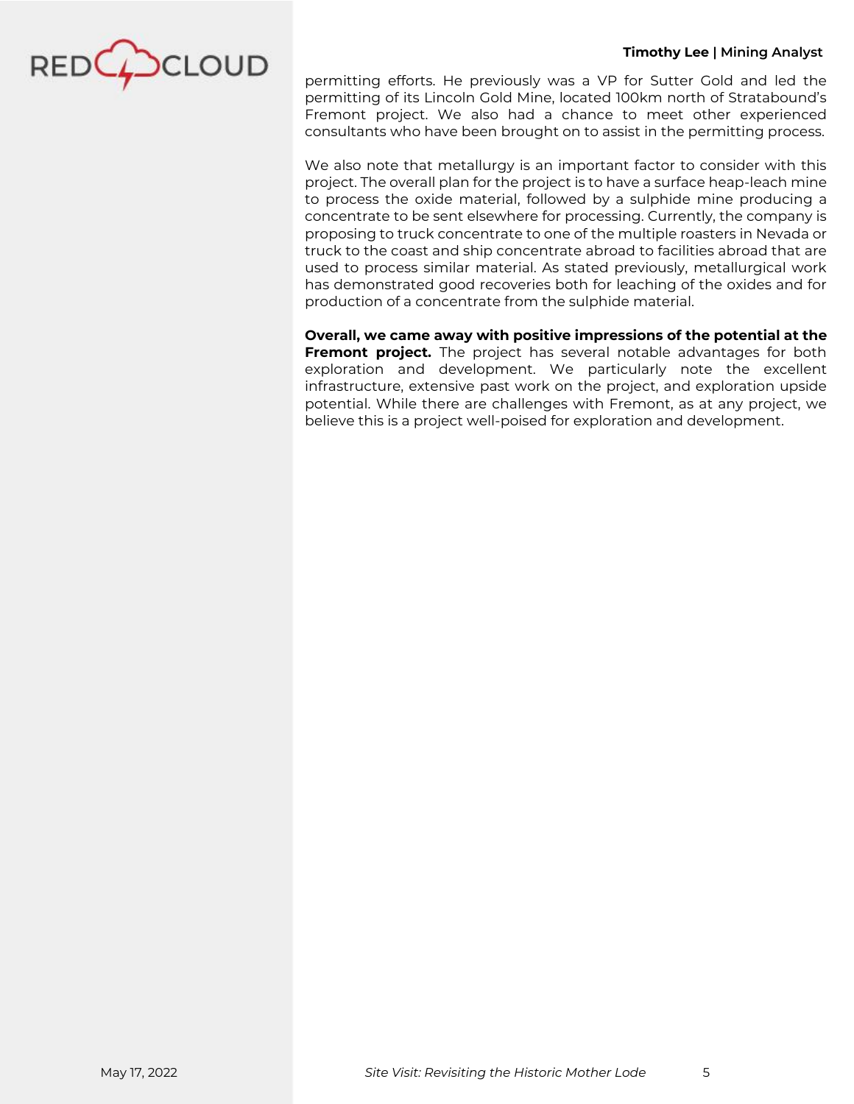

permitting efforts. He previously was a VP for Sutter Gold and led the permitting of its Lincoln Gold Mine, located 100km north of Stratabound's Fremont project. We also had a chance to meet other experienced consultants who have been brought on to assist in the permitting process.

We also note that metallurgy is an important factor to consider with this project. The overall plan for the project is to have a surface heap-leach mine to process the oxide material, followed by a sulphide mine producing a concentrate to be sent elsewhere for processing. Currently, the company is proposing to truck concentrate to one of the multiple roasters in Nevada or truck to the coast and ship concentrate abroad to facilities abroad that are used to process similar material. As stated previously, metallurgical work has demonstrated good recoveries both for leaching of the oxides and for production of a concentrate from the sulphide material.

**Overall, we came away with positive impressions of the potential at the Fremont project.** The project has several notable advantages for both exploration and development. We particularly note the excellent infrastructure, extensive past work on the project, and exploration upside potential. While there are challenges with Fremont, as at any project, we believe this is a project well-poised for exploration and development.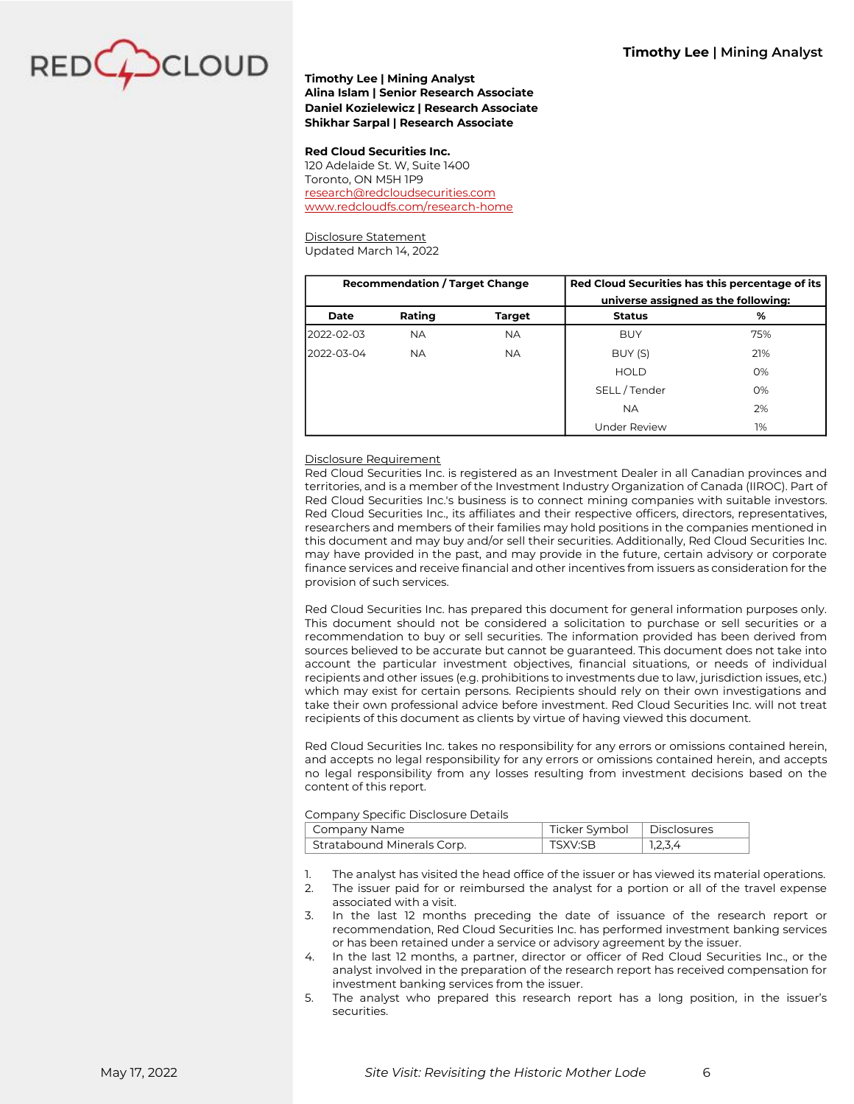

### **Timothy Lee | Mining Analyst Alina Islam | Senior Research Associate Daniel Kozielewicz | Research Associate Shikhar Sarpal | Research Associate**

#### **Red Cloud Securities Inc.**

120 Adelaide St. W, Suite 1400 Toronto, ON M5H 1P9 [research@redcloudsecurities.com](mailto:research@redcloudsecurities.com) [www.redcloudfs.com/research-home](https://www.redcloudfs.com/research-home/)

Disclosure Statement Updated March 14, 2022

| <b>Recommendation / Target Change</b> |           | Red Cloud Securities has this percentage of its<br>universe assigned as the following: |                     |     |
|---------------------------------------|-----------|----------------------------------------------------------------------------------------|---------------------|-----|
| Date                                  | Rating    | Target                                                                                 | <b>Status</b>       | %   |
| 2022-02-03                            | <b>NA</b> | <b>NA</b>                                                                              | <b>BUY</b>          | 75% |
| 2022-03-04                            | <b>NA</b> | <b>NA</b>                                                                              | BUY (S)             | 21% |
|                                       |           |                                                                                        | <b>HOLD</b>         | 0%  |
|                                       |           |                                                                                        | SELL/Tender         | O%  |
|                                       |           |                                                                                        | <b>NA</b>           | 2%  |
|                                       |           |                                                                                        | <b>Under Review</b> | 1%  |

#### Disclosure Requirement

Red Cloud Securities Inc. is registered as an Investment Dealer in all Canadian provinces and territories, and is a member of the Investment Industry Organization of Canada (IIROC). Part of Red Cloud Securities Inc.'s business is to connect mining companies with suitable investors. Red Cloud Securities Inc., its affiliates and their respective officers, directors, representatives, researchers and members of their families may hold positions in the companies mentioned in this document and may buy and/or sell their securities. Additionally, Red Cloud Securities Inc. may have provided in the past, and may provide in the future, certain advisory or corporate finance services and receive financial and other incentives from issuers as consideration for the provision of such services.

Red Cloud Securities Inc. has prepared this document for general information purposes only. This document should not be considered a solicitation to purchase or sell securities or a recommendation to buy or sell securities. The information provided has been derived from sources believed to be accurate but cannot be guaranteed. This document does not take into account the particular investment objectives, financial situations, or needs of individual recipients and other issues (e.g. prohibitions to investments due to law, jurisdiction issues, etc.) which may exist for certain persons. Recipients should rely on their own investigations and take their own professional advice before investment. Red Cloud Securities Inc. will not treat recipients of this document as clients by virtue of having viewed this document.

Red Cloud Securities Inc. takes no responsibility for any errors or omissions contained herein, and accepts no legal responsibility for any errors or omissions contained herein, and accepts no legal responsibility from any losses resulting from investment decisions based on the content of this report.

#### Company Specific Disclosure Details

| Company Name               | Ticker Symbol   Disclosures |         |  |  |
|----------------------------|-----------------------------|---------|--|--|
| Stratabound Minerals Corp. | TSXV:SB                     | 1,2,3,4 |  |  |

- 1. The analyst has visited the head office of the issuer or has viewed its material operations.
- 2. The issuer paid for or reimbursed the analyst for a portion or all of the travel expense associated with a visit.
- 3. In the last 12 months preceding the date of issuance of the research report or recommendation, Red Cloud Securities Inc. has performed investment banking services or has been retained under a service or advisory agreement by the issuer.
- 4. In the last 12 months, a partner, director or officer of Red Cloud Securities Inc., or the analyst involved in the preparation of the research report has received compensation for investment banking services from the issuer.
- 5. The analyst who prepared this research report has a long position, in the issuer's securities.